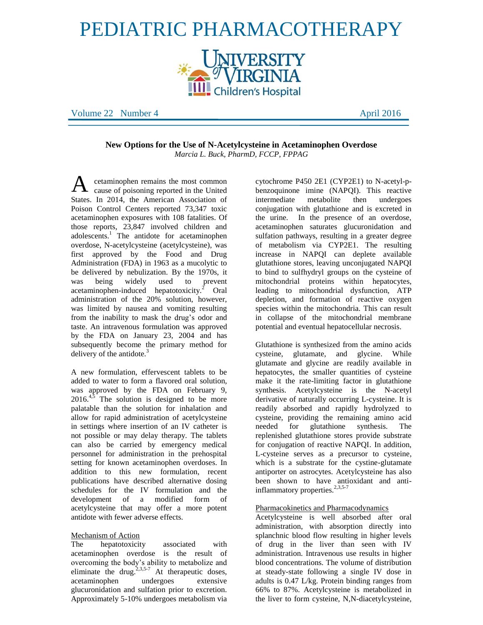# PEDIATRIC PHARMACOTHERAPY **INIVERSITY<br>"VIRGINIA**

**Children's Hospital** 

Volume 22 Number 4 April 2016

**New Options for the Use of N-Acetylcysteine in Acetaminophen Overdose** *Marcia L. Buck, PharmD, FCCP, FPPAG*

cetaminophen remains the most common cause of poisoning reported in the United States. In 2014, the American Association of Poison Control Centers reported 73,347 toxic acetaminophen exposures with 108 fatalities. Of those reports, 23,847 involved children and adolescents. $\frac{1}{1}$  The antidote for acetaminophen overdose, N-acetylcysteine (acetylcysteine), was first approved by the Food and Drug Administration (FDA) in 1963 as a mucolytic to be delivered by nebulization. By the 1970s, it was being widely used to prevent acetaminophen-induced hepatotoxicity.<sup>2</sup> Oral administration of the 20% solution, however, was limited by nausea and vomiting resulting from the inability to mask the drug's odor and taste. An intravenous formulation was approved by the FDA on January 23, 2004 and has subsequently become the primary method for delivery of the antidote. $3$ A

A new formulation, effervescent tablets to be added to water to form a flavored oral solution, was approved by the FDA on February 9,  $2016<sup>4,5</sup>$  The solution is designed to be more palatable than the solution for inhalation and allow for rapid administration of acetylcysteine in settings where insertion of an IV catheter is not possible or may delay therapy. The tablets can also be carried by emergency medical personnel for administration in the prehospital setting for known acetaminophen overdoses. In addition to this new formulation, recent publications have described alternative dosing schedules for the IV formulation and the development of a modified form of acetylcysteine that may offer a more potent antidote with fewer adverse effects.

## Mechanism of Action

The hepatotoxicity associated with acetaminophen overdose is the result of overcoming the body's ability to metabolize and eliminate the drug.<sup>2,3,5-7</sup> At therapeutic doses, acetaminophen undergoes extensive glucuronidation and sulfation prior to excretion. Approximately 5-10% undergoes metabolism via

cytochrome P450 2E1 (CYP2E1) to N-acetyl-pbenzoquinone imine (NAPQI). This reactive intermediate metabolite then undergoes conjugation with glutathione and is excreted in the urine. In the presence of an overdose, acetaminophen saturates glucuronidation and sulfation pathways, resulting in a greater degree of metabolism via CYP2E1. The resulting increase in NAPQI can deplete available glutathione stores, leaving unconjugated NAPQI to bind to sulfhydryl groups on the cysteine of mitochondrial proteins within hepatocytes, leading to mitochondrial dysfunction, ATP depletion, and formation of reactive oxygen species within the mitochondria. This can result in collapse of the mitochondrial membrane potential and eventual hepatocellular necrosis.

Glutathione is synthesized from the amino acids cysteine, glutamate, and glycine. While glutamate and glycine are readily available in hepatocytes, the smaller quantities of cysteine make it the rate-limiting factor in glutathione synthesis. Acetylcysteine is the N-acetyl derivative of naturally occurring L-cysteine. It is readily absorbed and rapidly hydrolyzed to cysteine, providing the remaining amino acid needed for glutathione synthesis. The replenished glutathione stores provide substrate for conjugation of reactive NAPQI. In addition, L-cysteine serves as a precursor to cysteine, which is a substrate for the cystine-glutamate antiporter on astrocytes. Acetylcysteine has also been shown to have antioxidant and antiinflammatory properties.<sup>2,3,5-7</sup>

# Pharmacokinetics and Pharmacodynamics

Acetylcysteine is well absorbed after oral administration, with absorption directly into splanchnic blood flow resulting in higher levels of drug in the liver than seen with IV administration. Intravenous use results in higher blood concentrations. The volume of distribution at steady-state following a single IV dose in adults is 0.47 L/kg. Protein binding ranges from 66% to 87%. Acetylcysteine is metabolized in the liver to form cysteine, N,N-diacetylcysteine,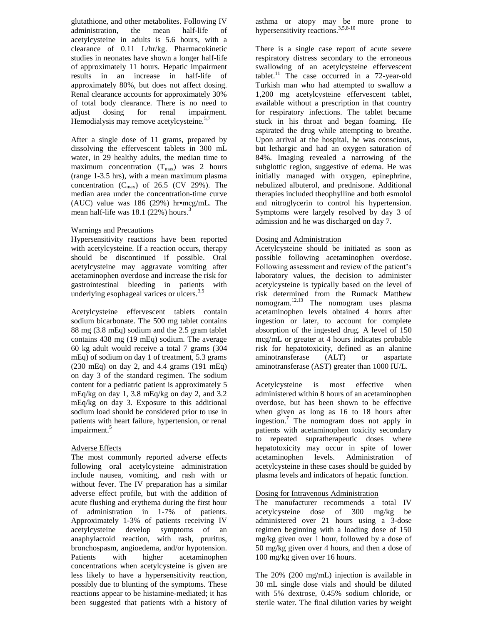glutathione, and other metabolites. Following IV administration, the mean half-life of acetylcysteine in adults is 5.6 hours, with a clearance of 0.11 L/hr/kg. Pharmacokinetic studies in neonates have shown a longer half-life of approximately 11 hours. Hepatic impairment results in an increase in half-life of approximately 80%, but does not affect dosing. Renal clearance accounts for approximately 30% of total body clearance. There is no need to adjust dosing for renal impairment. Hemodialysis may remove acetylcysteine.<sup>5,7</sup>

After a single dose of 11 grams, prepared by dissolving the effervescent tablets in 300 mL water, in 29 healthy adults, the median time to maximum concentration  $(T_{max})$  was 2 hours (range 1-3.5 hrs), with a mean maximum plasma concentration  $(C_{\text{max}})$  of 26.5 (CV 29%). The median area under the concentration-time curve (AUC) value was 186 (29%) hr•mcg/mL. The mean half-life was  $18.1$  (22%) hours.<sup>3</sup>

#### Warnings and Precautions

Hypersensitivity reactions have been reported with acetylcysteine. If a reaction occurs, therapy should be discontinued if possible. Oral acetylcysteine may aggravate vomiting after acetaminophen overdose and increase the risk for gastrointestinal bleeding in patients with underlying esophageal varices or ulcers.<sup>3,5</sup>

Acetylcysteine effervescent tablets contain sodium bicarbonate. The 500 mg tablet contains 88 mg (3.8 mEq) sodium and the 2.5 gram tablet contains 438 mg (19 mEq) sodium. The average 60 kg adult would receive a total 7 grams (304 mEq) of sodium on day 1 of treatment, 5.3 grams (230 mEq) on day 2, and 4.4 grams (191 mEq) on day 3 of the standard regimen. The sodium content for a pediatric patient is approximately 5 mEq/kg on day 1, 3.8 mEq/kg on day 2, and 3.2 mEq/kg on day 3. Exposure to this additional sodium load should be considered prior to use in patients with heart failure, hypertension, or renal impairment.<sup>5</sup>

#### Adverse Effects

The most commonly reported adverse effects following oral acetylcysteine administration include nausea, vomiting, and rash with or without fever. The IV preparation has a similar adverse effect profile, but with the addition of acute flushing and erythema during the first hour of administration in 1-7% of patients. Approximately 1-3% of patients receiving IV acetylcysteine develop symptoms of an anaphylactoid reaction, with rash, pruritus, bronchospasm, angioedema, and/or hypotension. Patients with higher acetaminophen concentrations when acetylcysteine is given are less likely to have a hypersensitivity reaction, possibly due to blunting of the symptoms. These reactions appear to be histamine-mediated; it has been suggested that patients with a history of

asthma or atopy may be more prone to hypersensitivity reactions. 3,5,8-10

There is a single case report of acute severe respiratory distress secondary to the erroneous swallowing of an acetylcysteine effervescent tablet.<sup>11</sup> The case occurred in a 72-year-old Turkish man who had attempted to swallow a 1,200 mg acetylcysteine effervescent tablet, available without a prescription in that country for respiratory infections. The tablet became stuck in his throat and began foaming. He aspirated the drug while attempting to breathe. Upon arrival at the hospital, he was conscious, but lethargic and had an oxygen saturation of 84%. Imaging revealed a narrowing of the subglottic region, suggestive of edema. He was initially managed with oxygen, epinephrine, nebulized albuterol, and prednisone. Additional therapies included theophylline and both esmolol and nitroglycerin to control his hypertension. Symptoms were largely resolved by day 3 of admission and he was discharged on day 7.

#### Dosing and Administration

Acetylcysteine should be initiated as soon as possible following acetaminophen overdose. Following assessment and review of the patient's laboratory values, the decision to administer acetylcysteine is typically based on the level of risk determined from the Rumack Matthew nomogram. 12,13 The nomogram uses plasma acetaminophen levels obtained 4 hours after ingestion or later, to account for complete absorption of the ingested drug. A level of 150 mcg/mL or greater at 4 hours indicates probable risk for hepatotoxicity, defined as an alanine aminotransferase (ALT) or aspartate aminotransferase (AST) greater than 1000 IU/L.

Acetylcysteine is most effective when administered within 8 hours of an acetaminophen overdose, but has been shown to be effective when given as long as 16 to 18 hours after ingestion.<sup>7</sup> The nomogram does not apply in patients with acetaminophen toxicity secondary to repeated supratherapeutic doses where hepatotoxicity may occur in spite of lower acetaminophen levels. Administration of acetylcysteine in these cases should be guided by plasma levels and indicators of hepatic function.

## Dosing for Intravenous Administration

The manufacturer recommends a total IV acetylcysteine dose of 300 mg/kg be administered over 21 hours using a 3-dose regimen beginning with a loading dose of 150 mg/kg given over 1 hour, followed by a dose of 50 mg/kg given over 4 hours, and then a dose of 100 mg/kg given over 16 hours.

The 20% (200 mg/mL) injection is available in 30 mL single dose vials and should be diluted with 5% dextrose, 0.45% sodium chloride, or sterile water. The final dilution varies by weight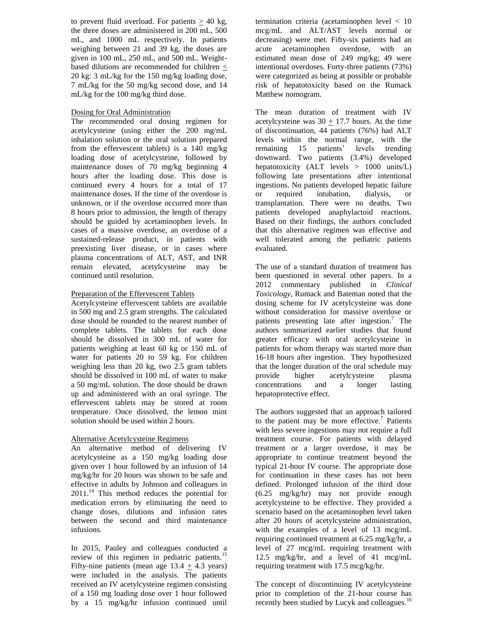to prevent fluid overload. For patients  $\geq 40$  kg, the three doses are administered in 200 mL, 500 mL, and 1000 mL respectively. In patients weighing between 21 and 39 kg, the doses are given in 100 mL, 250 mL, and 500 mL. Weightbased dilutions are recommended for children < 20 kg: 3 mL/kg for the 150 mg/kg loading dose, 7 mL/kg for the 50 mg/kg second dose, and 14 mL/kg for the 100 mg/kg third dose.

## Dosing for Oral Administration

The recommended oral dosing regimen for acetylcysteine (using either the 200 mg/mL inhalation solution or the oral solution prepared from the effervescent tablets) is a 140 mg/kg loading dose of acetylcysteine, followed by maintenance doses of 70 mg/kg beginning 4 hours after the loading dose. This dose is continued every 4 hours for a total of 17 maintenance doses. If the time of the overdose is unknown, or if the overdose occurred more than 8 hours prior to admission, the length of therapy should be guided by acetaminophen levels. In cases of a massive overdose, an overdose of a sustained-release product, in patients with preexisting liver disease, or in cases where plasma concentrations of ALT, AST, and INR remain elevated, acetylcysteine may be continued until resolution.

# Preparation of the Effervescent Tablets

Acetylcysteine effervescent tablets are available in 500 mg and 2.5 gram strengths. The calculated dose should be rounded to the nearest number of complete tablets. The tablets for each dose should be dissolved in 300 mL of water for patients weighing at least 60 kg or 150 mL of water for patients 20 to 59 kg. For children weighing less than 20 kg, two 2.5 gram tablets should be dissolved in 100 mL of water to make a 50 mg/mL solution. The dose should be drawn up and administered with an oral syringe. The effervescent tablets may be stored at room temperature. Once dissolved, the lemon mint solution should be used within 2 hours.

# Alternative Acetylcysteine Regimens

An alternative method of delivering IV acetylcysteine as a 150 mg/kg loading dose given over 1 hour followed by an infusion of 14 mg/kg/hr for 20 hours was shown to be safe and effective in adults by Johnson and colleagues in  $2011$ .<sup>14</sup> This method reduces the potential for medication errors by eliminating the need to change doses, dilutions and infusion rates between the second and third maintenance infusions.

In 2015, Pauley and colleagues conducted a review of this regimen in pediatric patients.<sup>15</sup> Fifty-nine patients (mean age  $13.4 + 4.3$  years) were included in the analysis. The patients received an IV acetylcysteine regimen consisting of a 150 mg loading dose over 1 hour followed by a 15 mg/kg/hr infusion continued until termination criteria (acetaminophen level < 10 mcg/mL and ALT/AST levels normal or decreasing) were met. Fifty-six patients had an acute acetaminophen overdose, with an estimated mean dose of 249 mg/kg; 49 were intentional overdoses. Forty-three patients (73%) were categorized as being at possible or probable risk of hepatotoxicity based on the Rumack Matthew nomogram.

The mean duration of treatment with IV acetylcysteine was  $30 + 17.7$  hours. At the time of discontinuation, 44 patients (76%) had ALT levels within the normal range, with the remaining 15 patients' levels trending downward. Two patients (3.4%) developed hepatotoxicity  $(ALT$  levels  $> 1000$  units/ $L$ ) following late presentations after intentional ingestions. No patients developed hepatic failure or required intubation, dialysis, or transplantation. There were no deaths. Two patients developed anaphylactoid reactions. Based on their findings, the authors concluded that this alternative regimen was effective and well tolerated among the pediatric patients evaluated.

The use of a standard duration of treatment has been questioned in several other papers. In a 2012 commentary published in *Clinical Toxicology*, Rumack and Bateman noted that the dosing scheme for IV acetylcysteine was done without consideration for massive overdose or patients presenting late after ingestion.<sup>7</sup> The authors summarized earlier studies that found greater efficacy with oral acetylcysteine in patients for whom therapy was started more than 16-18 hours after ingestion. They hypothesized that the longer duration of the oral schedule may provide higher acetylcysteine plasma concentrations and a longer lasting hepatoprotective effect.

The authors suggested that an approach tailored to the patient may be more effective. 7 Patients with less severe ingestions may not require a full treatment course. For patients with delayed treatment or a larger overdose, it may be appropriate to continue treatment beyond the typical 21-hour IV course. The appropriate dose for continuation in these cases has not been defined. Prolonged infusion of the third dose (6.25 mg/kg/hr) may not provide enough acetylcysteine to be effective. They provided a scenario based on the acetaminophen level taken after 20 hours of acetylcysteine administration, with the examples of a level of 13 mcg/mL requiring continued treatment at 6.25 mg/kg/hr, a level of 27 mcg/mL requiring treatment with 12.5 mg/kg/hr, and a level of 41 mcg/mL requiring treatment with 17.5 mcg/kg/hr.

The concept of discontinuing IV acetylcysteine prior to completion of the 21-hour course has recently been studied by Lucyk and colleagues.<sup>16</sup>